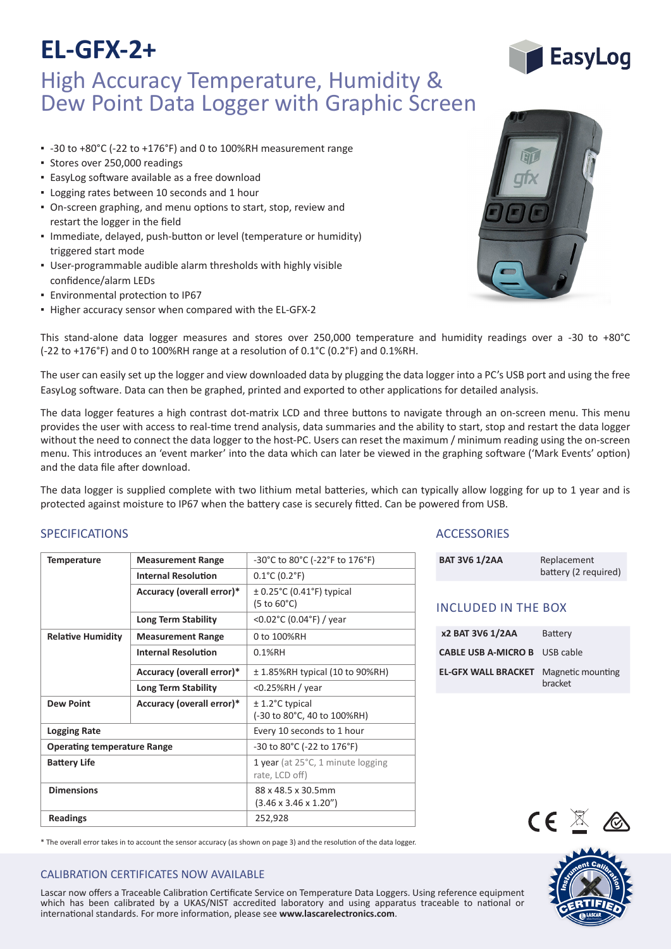# **EL-GFX-2+**

## High Accuracy Temperature, Humidity & Dew Point Data Logger with Graphic Screen

- -30 to +80°C (-22 to +176°F) and 0 to 100%RH measurement range
- Stores over 250,000 readings
- EasyLog software available as a free download
- Logging rates between 10 seconds and 1 hour
- On-screen graphing, and menu options to start, stop, review and restart the logger in the field
- Immediate, delayed, push-button or level (temperature or humidity) triggered start mode
- User-programmable audible alarm thresholds with highly visible confidence/alarm LEDs
- Environmental protection to IP67
- Higher accuracy sensor when compared with the EL-GFX-2



This stand-alone data logger measures and stores over 250,000 temperature and humidity readings over a -30 to +80°C (-22 to +176°F) and 0 to 100%RH range at a resolution of 0.1°C (0.2°F) and 0.1%RH.

The user can easily set up the logger and view downloaded data by plugging the data logger into a PC's USB port and using the free EasyLog software. Data can then be graphed, printed and exported to other applications for detailed analysis.

The data logger features a high contrast dot-matrix LCD and three buttons to navigate through an on-screen menu. This menu provides the user with access to real-time trend analysis, data summaries and the ability to start, stop and restart the data logger without the need to connect the data logger to the host-PC. Users can reset the maximum / minimum reading using the on-screen menu. This introduces an 'event marker' into the data which can later be viewed in the graphing software ('Mark Events' option) and the data file after download.

The data logger is supplied complete with two lithium metal batteries, which can typically allow logging for up to 1 year and is protected against moisture to IP67 when the battery case is securely fitted. Can be powered from USB.

### SPECIFICATIONS

| <b>Temperature</b>                 | <b>Measurement Range</b>   | -30°C to 80°C (-22°F to 176°F)                                         |
|------------------------------------|----------------------------|------------------------------------------------------------------------|
|                                    | <b>Internal Resolution</b> | $0.1^{\circ}$ C (0.2 $^{\circ}$ F)                                     |
|                                    | Accuracy (overall error)*  | $\pm$ 0.25°C (0.41°F) typical<br>$(5 \text{ to } 60^{\circ} \text{C})$ |
|                                    | <b>Long Term Stability</b> | <0.02°C (0.04°F) / year                                                |
| <b>Relative Humidity</b>           | <b>Measurement Range</b>   | 0 to 100%RH                                                            |
|                                    | <b>Internal Resolution</b> | $0.1%$ RH                                                              |
|                                    | Accuracy (overall error)*  | $\pm$ 1.85%RH typical (10 to 90%RH)                                    |
|                                    | Long Term Stability        | $<$ 0.25%RH / year                                                     |
| <b>Dew Point</b>                   | Accuracy (overall error)*  | $± 1.2$ °C typical<br>(-30 to 80°C, 40 to 100%RH)                      |
| <b>Logging Rate</b>                |                            | Every 10 seconds to 1 hour                                             |
| <b>Operating temperature Range</b> |                            | -30 to 80°C (-22 to 176°F)                                             |
| <b>Battery Life</b>                |                            | 1 year (at 25°C, 1 minute logging<br>rate, LCD off)                    |
| <b>Dimensions</b>                  |                            | 88 x 48.5 x 30.5mm<br>$(3.46 \times 3.46 \times 1.20'')$               |
| <b>Readings</b>                    |                            | 252,928                                                                |

### **ACCESSORIES**

| <b>BAT 3V6 1/2AA</b> | Replacement<br>battery (2 required) |
|----------------------|-------------------------------------|
|                      |                                     |

### INCLUDED IN THE BOX

| x2 BAT 3V6 1/2AA                     | <b>Battery</b>               |
|--------------------------------------|------------------------------|
| <b>CABLE USB A-MICRO B</b> USB cable |                              |
| <b>EL-GFX WALL BRACKET</b>           | Magnetic mounting<br>bracket |



 $\sim$  18  $\sim$  18  $\sim$ 

| * The overall error takes in to account the sensor accuracy (as shown on page 3) and the resolution of the data logger. |  |
|-------------------------------------------------------------------------------------------------------------------------|--|
|-------------------------------------------------------------------------------------------------------------------------|--|

### CALIBRATION CERTIFICATES NOW AVAILABLE

which has been calibrated by a UKAS/NIST accredited laboratory and using apparatus traceable to national or Lascar now offers a Traceable Calibration Certificate Service on Temperature Data Loggers. Using reference equipment international standards. For more information, please see **www.lascarelectronics.com**.

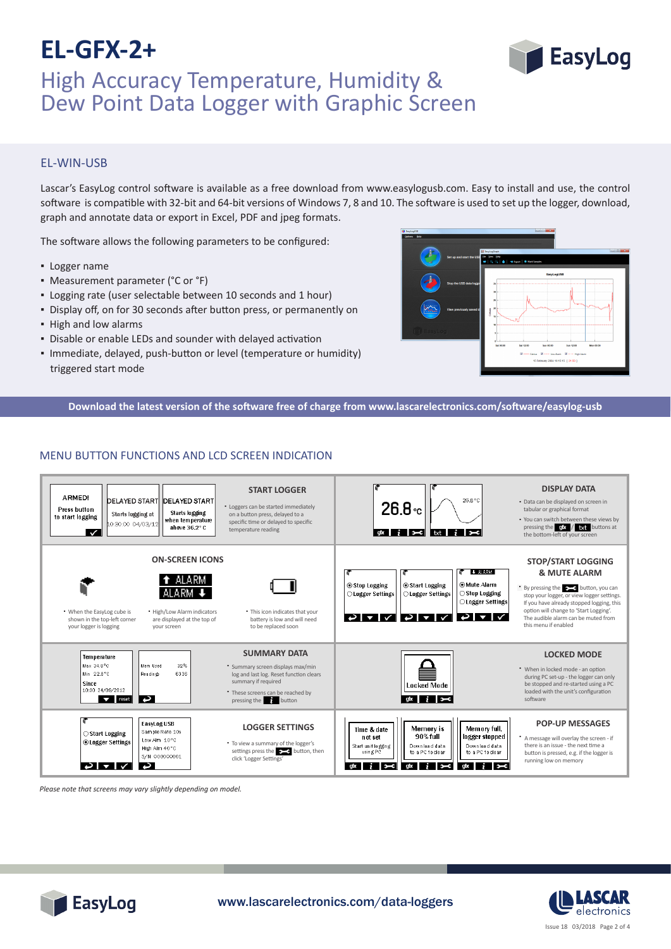# **EL-GFX-2+**



### EL-WIN-USB

Lascar's EasyLog control software is available as a free download from www.easylogusb.com. Easy to install and use, the control software is compatible with 32-bit and 64-bit versions of Windows 7, 8 and 10. The software is used to set up the logger, download, graph and annotate data or export in Excel, PDF and jpeg formats.

The software allows the following parameters to be configured:

- Logger name
- Measurement parameter (°C or °F)
- Logging rate (user selectable between 10 seconds and 1 hour)
- Display off, on for 30 seconds after button press, or permanently on
- High and low alarms
- Disable or enable LEDs and sounder with delayed activation
- Immediate, delayed, push-button or level (temperature or humidity) triggered start mode



**EasyLog** 

**Download the latest version of the software free of charge from www.lascarelectronics.com/software/easylog-usb**

### MENU BUTTON FUNCTIONS AND LCD SCREEN INDICATION



*Please note that screens may vary slightly depending on model.*





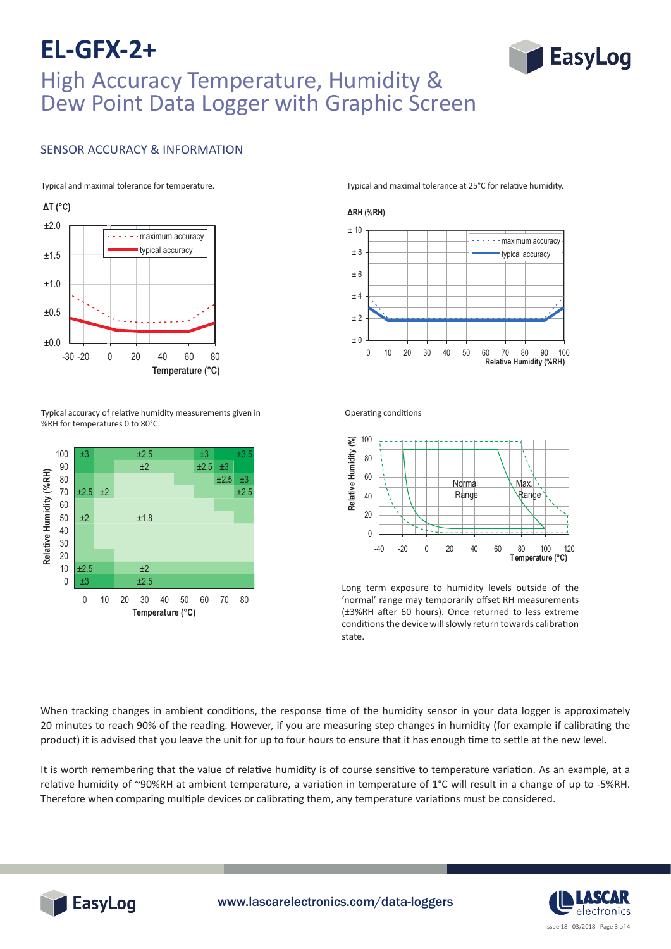## **EL-GFX-2+** High Accuracy Temperature, Humidity & Dew Point Data Logger with Graphic Screen

### SENSOR ACCURACY & INFORMATION



 $13, 5, 6, 6, 6, 7.5$ Typical accuracy of relative humidity measurements given in<br>%PH for tomporatures 0 to 80°C %RH for temperatures 0 to 80°C.



Typical and maximal tolerance for temperature. Typical and maximal tolerance at 25°C for relative humidity.

**EasyLog** 



Operating conditions



Long torm ovnosure to humidity lovels out Long term exposure to humidity levels outside of the 'normal' range may temporarily offset RH measurements (±3%RH after 60 hours). Once returned to less extreme conditions the device will slowly return towards calibration state.

When tracking changes in ambient conditions, the response time of the humidity sensor in your data logger is approximately 20 minutes to reach 90% of the reading. However, if you are measuring step changes in humidity (for example if calibrating the product) it is advised that you leave the unit for up to four hours to ensure that it has enough time to settle at the new level.

It is worth remembering that the value of relative humidity is of course sensitive to temperature variation. As an example, at a relative humidity of ~90%RH at ambient temperature, a variation in temperature of 1°C will result in a change of up to -5%RH. Therefore when comparing multiple devices or calibrating them, any temperature variations must be considered.